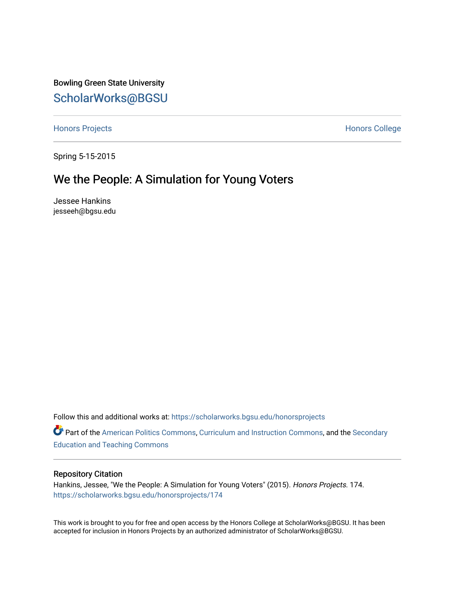Bowling Green State University [ScholarWorks@BGSU](https://scholarworks.bgsu.edu/) 

[Honors Projects](https://scholarworks.bgsu.edu/honorsprojects) **Honors** College

Spring 5-15-2015

# We the People: A Simulation for Young Voters

Jessee Hankins jesseeh@bgsu.edu

Follow this and additional works at: [https://scholarworks.bgsu.edu/honorsprojects](https://scholarworks.bgsu.edu/honorsprojects?utm_source=scholarworks.bgsu.edu%2Fhonorsprojects%2F174&utm_medium=PDF&utm_campaign=PDFCoverPages) 

Part of the [American Politics Commons,](http://network.bepress.com/hgg/discipline/387?utm_source=scholarworks.bgsu.edu%2Fhonorsprojects%2F174&utm_medium=PDF&utm_campaign=PDFCoverPages) [Curriculum and Instruction Commons,](http://network.bepress.com/hgg/discipline/786?utm_source=scholarworks.bgsu.edu%2Fhonorsprojects%2F174&utm_medium=PDF&utm_campaign=PDFCoverPages) and the Secondary [Education and Teaching Commons](http://network.bepress.com/hgg/discipline/809?utm_source=scholarworks.bgsu.edu%2Fhonorsprojects%2F174&utm_medium=PDF&utm_campaign=PDFCoverPages) 

### Repository Citation

Hankins, Jessee, "We the People: A Simulation for Young Voters" (2015). Honors Projects. 174. [https://scholarworks.bgsu.edu/honorsprojects/174](https://scholarworks.bgsu.edu/honorsprojects/174?utm_source=scholarworks.bgsu.edu%2Fhonorsprojects%2F174&utm_medium=PDF&utm_campaign=PDFCoverPages) 

This work is brought to you for free and open access by the Honors College at ScholarWorks@BGSU. It has been accepted for inclusion in Honors Projects by an authorized administrator of ScholarWorks@BGSU.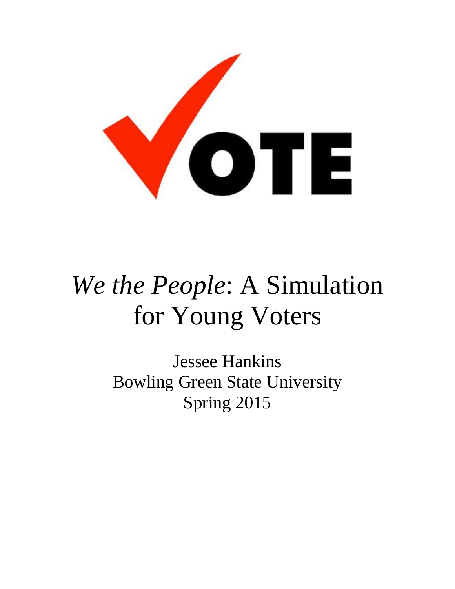

# *We the People*: A Simulation for Young Voters

Jessee Hankins Bowling Green State University Spring 2015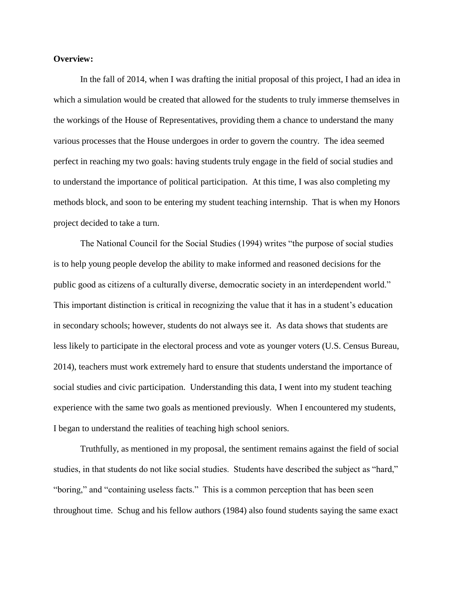### **Overview:**

In the fall of 2014, when I was drafting the initial proposal of this project, I had an idea in which a simulation would be created that allowed for the students to truly immerse themselves in the workings of the House of Representatives, providing them a chance to understand the many various processes that the House undergoes in order to govern the country. The idea seemed perfect in reaching my two goals: having students truly engage in the field of social studies and to understand the importance of political participation. At this time, I was also completing my methods block, and soon to be entering my student teaching internship. That is when my Honors project decided to take a turn.

The National Council for the Social Studies (1994) writes "the purpose of social studies is to help young people develop the ability to make informed and reasoned decisions for the public good as citizens of a culturally diverse, democratic society in an interdependent world." This important distinction is critical in recognizing the value that it has in a student's education in secondary schools; however, students do not always see it. As data shows that students are less likely to participate in the electoral process and vote as younger voters (U.S. Census Bureau, 2014), teachers must work extremely hard to ensure that students understand the importance of social studies and civic participation. Understanding this data, I went into my student teaching experience with the same two goals as mentioned previously. When I encountered my students, I began to understand the realities of teaching high school seniors.

Truthfully, as mentioned in my proposal, the sentiment remains against the field of social studies, in that students do not like social studies. Students have described the subject as "hard," "boring," and "containing useless facts." This is a common perception that has been seen throughout time. Schug and his fellow authors (1984) also found students saying the same exact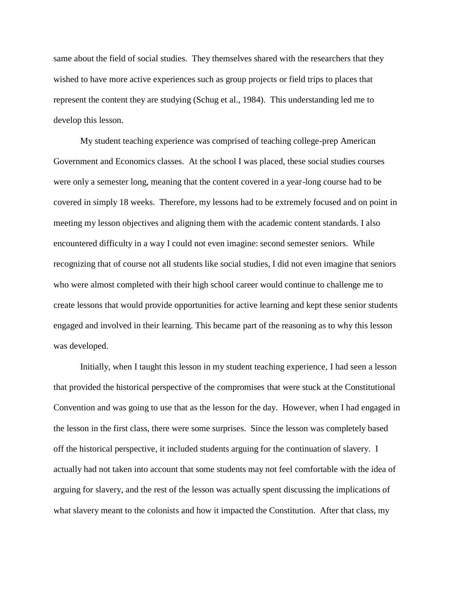same about the field of social studies. They themselves shared with the researchers that they wished to have more active experiences such as group projects or field trips to places that represent the content they are studying (Schug et al., 1984). This understanding led me to develop this lesson.

My student teaching experience was comprised of teaching college-prep American Government and Economics classes. At the school I was placed, these social studies courses were only a semester long, meaning that the content covered in a year-long course had to be covered in simply 18 weeks. Therefore, my lessons had to be extremely focused and on point in meeting my lesson objectives and aligning them with the academic content standards. I also encountered difficulty in a way I could not even imagine: second semester seniors. While recognizing that of course not all students like social studies, I did not even imagine that seniors who were almost completed with their high school career would continue to challenge me to create lessons that would provide opportunities for active learning and kept these senior students engaged and involved in their learning. This became part of the reasoning as to why this lesson was developed.

Initially, when I taught this lesson in my student teaching experience, I had seen a lesson that provided the historical perspective of the compromises that were stuck at the Constitutional Convention and was going to use that as the lesson for the day. However, when I had engaged in the lesson in the first class, there were some surprises. Since the lesson was completely based off the historical perspective, it included students arguing for the continuation of slavery. I actually had not taken into account that some students may not feel comfortable with the idea of arguing for slavery, and the rest of the lesson was actually spent discussing the implications of what slavery meant to the colonists and how it impacted the Constitution. After that class, my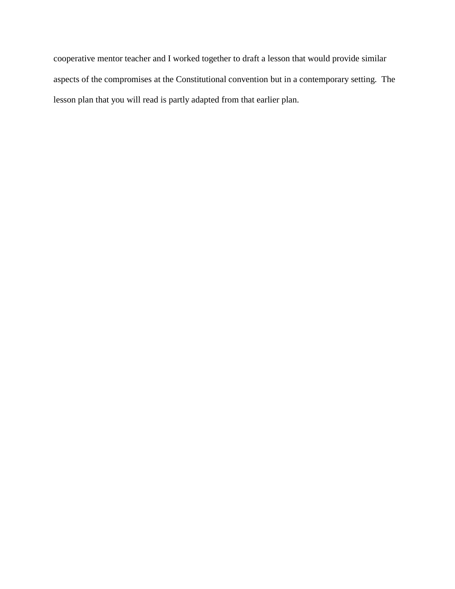cooperative mentor teacher and I worked together to draft a lesson that would provide similar aspects of the compromises at the Constitutional convention but in a contemporary setting. The lesson plan that you will read is partly adapted from that earlier plan.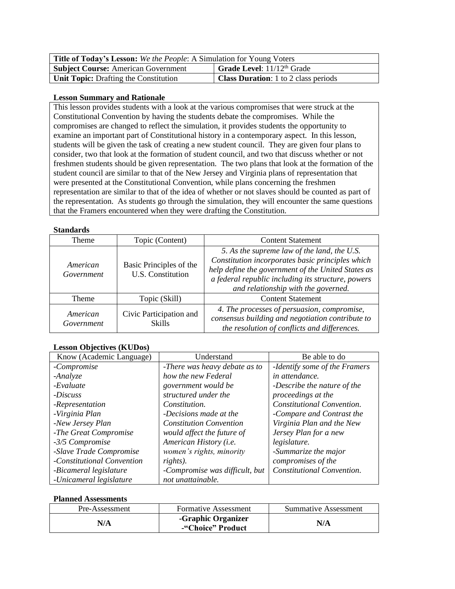| <b>Title of Today's Lesson:</b> We the People: A Simulation for Young Voters |                                             |  |  |
|------------------------------------------------------------------------------|---------------------------------------------|--|--|
| <b>Subject Course:</b> American Government                                   | Grade Level: $11/12th$ Grade                |  |  |
| <b>Unit Topic:</b> Drafting the Constitution                                 | <b>Class Duration:</b> 1 to 2 class periods |  |  |

#### **Lesson Summary and Rationale**

This lesson provides students with a look at the various compromises that were struck at the Constitutional Convention by having the students debate the compromises. While the compromises are changed to reflect the simulation, it provides students the opportunity to examine an important part of Constitutional history in a contemporary aspect. In this lesson, students will be given the task of creating a new student council. They are given four plans to consider, two that look at the formation of student council, and two that discuss whether or not freshmen students should be given representation. The two plans that look at the formation of the student council are similar to that of the New Jersey and Virginia plans of representation that were presented at the Constitutional Convention, while plans concerning the freshmen representation are similar to that of the idea of whether or not slaves should be counted as part of the representation. As students go through the simulation, they will encounter the same questions that the Framers encountered when they were drafting the Constitution.

#### **Standards**

| Theme                  | Topic (Content)                                     | <b>Content Statement</b>                                                                                                                                                                                                                           |
|------------------------|-----------------------------------------------------|----------------------------------------------------------------------------------------------------------------------------------------------------------------------------------------------------------------------------------------------------|
| American<br>Government | Basic Principles of the<br><b>U.S. Constitution</b> | 5. As the supreme law of the land, the U.S.<br>Constitution incorporates basic principles which<br>help define the government of the United States as<br>a federal republic including its structure, powers<br>and relationship with the governed. |
| Theme                  | Topic (Skill)                                       | <b>Content Statement</b>                                                                                                                                                                                                                           |
| American<br>Government | Civic Participation and<br><b>Skills</b>            | 4. The processes of persuasion, compromise,<br>consensus building and negotiation contribute to<br>the resolution of conflicts and differences.                                                                                                    |

### **Lesson Objectives (KUDos)**

| Know (Academic Language)   | Understand                     | Be able to do                 |
|----------------------------|--------------------------------|-------------------------------|
| -Compromise                | -There was heavy debate as to  | -Identify some of the Framers |
| -Analyze                   | how the new Federal            | in attendance.                |
| -Evaluate                  | government would be            | -Describe the nature of the   |
| -Discuss                   | structured under the           | proceedings at the            |
| -Representation            | <i>Constitution.</i>           | Constitutional Convention.    |
| -Virginia Plan             | -Decisions made at the         | -Compare and Contrast the     |
| -New Jersey Plan           | <b>Constitution Convention</b> | Virginia Plan and the New     |
| -The Great Compromise      | would affect the future of     | Jersey Plan for a new         |
| -3/5 Compromise            | American History (i.e.         | legislature.                  |
| -Slave Trade Compromise    | women's rights, minority       | -Summarize the major          |
| -Constitutional Convention | rights).                       | compromises of the            |
| -Bicameral legislature     | -Compromise was difficult, but | Constitutional Convention.    |
| -Unicameral legislature    | not unattainable.              |                               |

### **Planned Assessments**

| Pre-Assessment | <b>Formative Assessment</b>             | Summative Assessment |
|----------------|-----------------------------------------|----------------------|
| N/A            | -Graphic Organizer<br>- Choice" Product | N/A                  |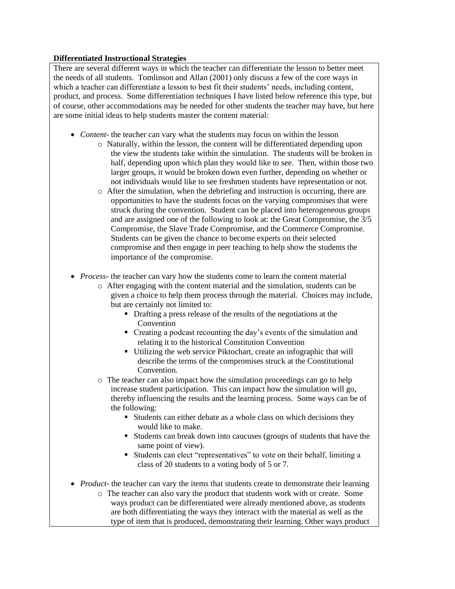### **Differentiated Instructional Strategies**

There are several different ways in which the teacher can differentiate the lesson to better meet the needs of all students. Tomlinson and Allan (2001) only discuss a few of the core ways in which a teacher can differentiate a lesson to best fit their students' needs, including content, product, and process. Some differentiation techniques I have listed below reference this type, but of course, other accommodations may be needed for other students the teacher may have, but here are some initial ideas to help students master the content material:

- *Content* the teacher can vary what the students may focus on within the lesson
	- o Naturally, within the lesson, the content will be differentiated depending upon the view the students take within the simulation. The students will be broken in half, depending upon which plan they would like to see. Then, within those two larger groups, it would be broken down even further, depending on whether or not individuals would like to see freshmen students have representation or not.
		- $\circ$  After the simulation, when the debriefing and instruction is occurring, there are opportunities to have the students focus on the varying compromises that were struck during the convention. Student can be placed into heterogeneous groups and are assigned one of the following to look at: the Great Compromise, the 3/5 Compromise, the Slave Trade Compromise, and the Commerce Compromise. Students can be given the chance to become experts on their selected compromise and then engage in peer teaching to help show the students the importance of the compromise.
- *Process* the teacher can vary how the students come to learn the content material
	- o After engaging with the content material and the simulation, students can be given a choice to help them process through the material. Choices may include, but are certainly not limited to:
		- Drafting a press release of the results of the negotiations at the Convention
		- Creating a podcast recounting the day's events of the simulation and relating it to the historical Constitution Convention
		- Utilizing the web service Piktochart, create an infographic that will describe the terms of the compromises struck at the Constitutional Convention.
	- o The teacher can also impact how the simulation proceedings can go to help increase student participation. This can impact how the simulation will go, thereby influencing the results and the learning process. Some ways can be of the following:
		- Students can either debate as a whole class on which decisions they would like to make.
		- Students can break down into caucuses (groups of students that have the same point of view).
		- Students can elect "representatives" to vote on their behalf, limiting a class of 20 students to a voting body of 5 or 7.
- *Product* the teacher can vary the items that students create to demonstrate their learning o The teacher can also vary the product that students work with or create. Some ways product can be differentiated were already mentioned above, as students are both differentiating the ways they interact with the material as well as the type of item that is produced, demonstrating their learning. Other ways product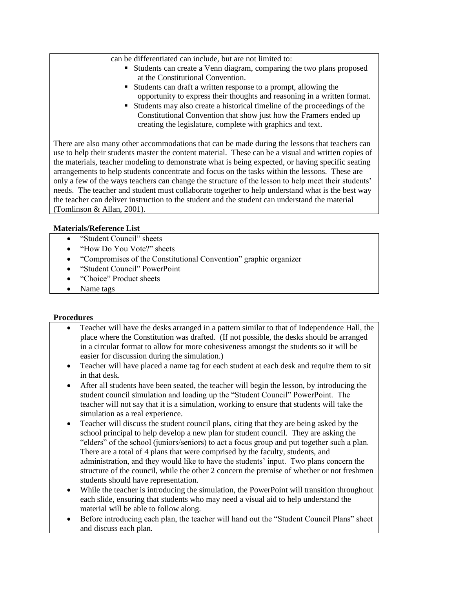can be differentiated can include, but are not limited to:

- Students can create a Venn diagram, comparing the two plans proposed at the Constitutional Convention.
- Students can draft a written response to a prompt, allowing the opportunity to express their thoughts and reasoning in a written format.
- Students may also create a historical timeline of the proceedings of the Constitutional Convention that show just how the Framers ended up creating the legislature, complete with graphics and text.

There are also many other accommodations that can be made during the lessons that teachers can use to help their students master the content material. These can be a visual and written copies of the materials, teacher modeling to demonstrate what is being expected, or having specific seating arrangements to help students concentrate and focus on the tasks within the lessons. These are only a few of the ways teachers can change the structure of the lesson to help meet their students' needs. The teacher and student must collaborate together to help understand what is the best way the teacher can deliver instruction to the student and the student can understand the material (Tomlinson & Allan, 2001).

### **Materials/Reference List**

- "Student Council" sheets
- "How Do You Vote?" sheets
- "Compromises of the Constitutional Convention" graphic organizer
- "Student Council" PowerPoint
- "Choice" Product sheets
- Name tags

### **Procedures**

- Teacher will have the desks arranged in a pattern similar to that of Independence Hall, the place where the Constitution was drafted. (If not possible, the desks should be arranged in a circular format to allow for more cohesiveness amongst the students so it will be easier for discussion during the simulation.)
- Teacher will have placed a name tag for each student at each desk and require them to sit in that desk.
- After all students have been seated, the teacher will begin the lesson, by introducing the student council simulation and loading up the "Student Council" PowerPoint. The teacher will not say that it is a simulation, working to ensure that students will take the simulation as a real experience.
- Teacher will discuss the student council plans, citing that they are being asked by the school principal to help develop a new plan for student council. They are asking the "elders" of the school (juniors/seniors) to act a focus group and put together such a plan. There are a total of 4 plans that were comprised by the faculty, students, and administration, and they would like to have the students' input. Two plans concern the structure of the council, while the other 2 concern the premise of whether or not freshmen students should have representation.
- While the teacher is introducing the simulation, the PowerPoint will transition throughout each slide, ensuring that students who may need a visual aid to help understand the material will be able to follow along.
- Before introducing each plan, the teacher will hand out the "Student Council Plans" sheet and discuss each plan.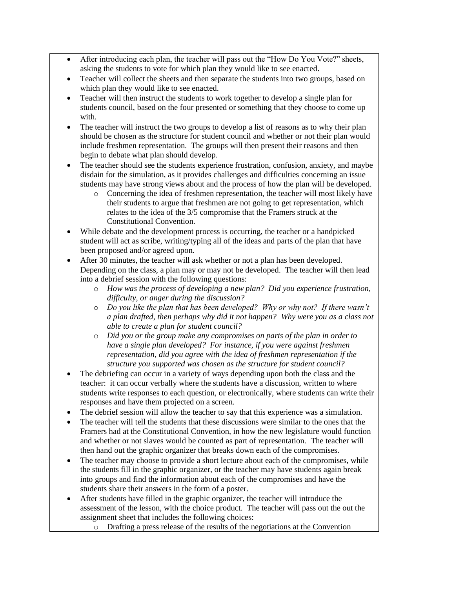- After introducing each plan, the teacher will pass out the "How Do You Vote?" sheets, asking the students to vote for which plan they would like to see enacted.
- Teacher will collect the sheets and then separate the students into two groups, based on which plan they would like to see enacted.
- Teacher will then instruct the students to work together to develop a single plan for students council, based on the four presented or something that they choose to come up with.
- The teacher will instruct the two groups to develop a list of reasons as to why their plan should be chosen as the structure for student council and whether or not their plan would include freshmen representation. The groups will then present their reasons and then begin to debate what plan should develop.
- The teacher should see the students experience frustration, confusion, anxiety, and maybe disdain for the simulation, as it provides challenges and difficulties concerning an issue students may have strong views about and the process of how the plan will be developed.
	- o Concerning the idea of freshmen representation, the teacher will most likely have their students to argue that freshmen are not going to get representation, which relates to the idea of the 3/5 compromise that the Framers struck at the Constitutional Convention.
- While debate and the development process is occurring, the teacher or a handpicked student will act as scribe, writing/typing all of the ideas and parts of the plan that have been proposed and/or agreed upon.
- After 30 minutes, the teacher will ask whether or not a plan has been developed. Depending on the class, a plan may or may not be developed. The teacher will then lead into a debrief session with the following questions:
	- o *How was the process of developing a new plan? Did you experience frustration, difficulty, or anger during the discussion?*
	- o *Do you like the plan that has been developed? Why or why not? If there wasn't a plan drafted, then perhaps why did it not happen? Why were you as a class not able to create a plan for student council?*
	- o *Did you or the group make any compromises on parts of the plan in order to have a single plan developed? For instance, if you were against freshmen representation, did you agree with the idea of freshmen representation if the structure you supported was chosen as the structure for student council?*
- The debriefing can occur in a variety of ways depending upon both the class and the teacher: it can occur verbally where the students have a discussion, written to where students write responses to each question, or electronically, where students can write their responses and have them projected on a screen.
- The debrief session will allow the teacher to say that this experience was a simulation.
- The teacher will tell the students that these discussions were similar to the ones that the Framers had at the Constitutional Convention, in how the new legislature would function and whether or not slaves would be counted as part of representation. The teacher will then hand out the graphic organizer that breaks down each of the compromises.
- The teacher may choose to provide a short lecture about each of the compromises, while the students fill in the graphic organizer, or the teacher may have students again break into groups and find the information about each of the compromises and have the students share their answers in the form of a poster.
- After students have filled in the graphic organizer, the teacher will introduce the assessment of the lesson, with the choice product. The teacher will pass out the out the assignment sheet that includes the following choices:
	- o Drafting a press release of the results of the negotiations at the Convention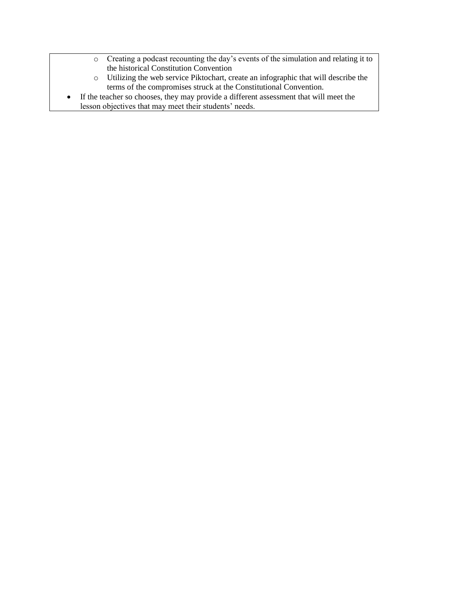- o Creating a podcast recounting the day's events of the simulation and relating it to the historical Constitution Convention
- o Utilizing the web service Piktochart, create an infographic that will describe the terms of the compromises struck at the Constitutional Convention.
- If the teacher so chooses, they may provide a different assessment that will meet the lesson objectives that may meet their students' needs.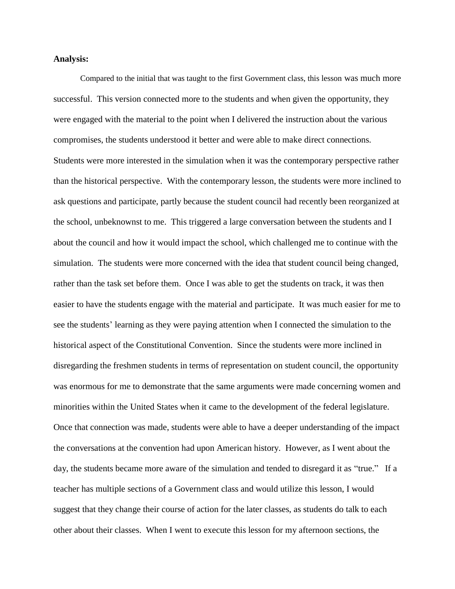#### **Analysis:**

Compared to the initial that was taught to the first Government class, this lesson was much more successful. This version connected more to the students and when given the opportunity, they were engaged with the material to the point when I delivered the instruction about the various compromises, the students understood it better and were able to make direct connections. Students were more interested in the simulation when it was the contemporary perspective rather than the historical perspective. With the contemporary lesson, the students were more inclined to ask questions and participate, partly because the student council had recently been reorganized at the school, unbeknownst to me. This triggered a large conversation between the students and I about the council and how it would impact the school, which challenged me to continue with the simulation. The students were more concerned with the idea that student council being changed, rather than the task set before them. Once I was able to get the students on track, it was then easier to have the students engage with the material and participate. It was much easier for me to see the students' learning as they were paying attention when I connected the simulation to the historical aspect of the Constitutional Convention. Since the students were more inclined in disregarding the freshmen students in terms of representation on student council, the opportunity was enormous for me to demonstrate that the same arguments were made concerning women and minorities within the United States when it came to the development of the federal legislature. Once that connection was made, students were able to have a deeper understanding of the impact the conversations at the convention had upon American history. However, as I went about the day, the students became more aware of the simulation and tended to disregard it as "true." If a teacher has multiple sections of a Government class and would utilize this lesson, I would suggest that they change their course of action for the later classes, as students do talk to each other about their classes. When I went to execute this lesson for my afternoon sections, the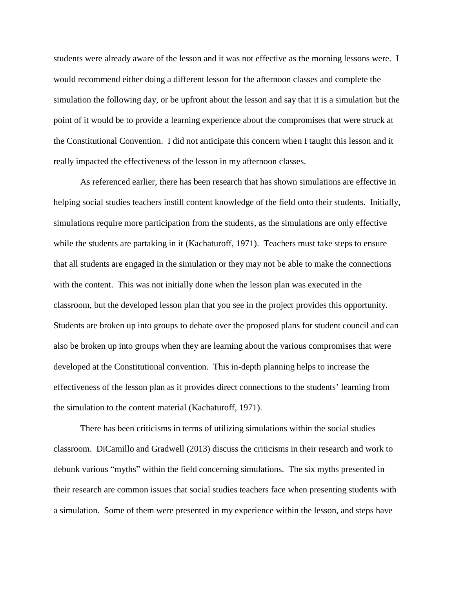students were already aware of the lesson and it was not effective as the morning lessons were. I would recommend either doing a different lesson for the afternoon classes and complete the simulation the following day, or be upfront about the lesson and say that it is a simulation but the point of it would be to provide a learning experience about the compromises that were struck at the Constitutional Convention. I did not anticipate this concern when I taught this lesson and it really impacted the effectiveness of the lesson in my afternoon classes.

As referenced earlier, there has been research that has shown simulations are effective in helping social studies teachers instill content knowledge of the field onto their students. Initially, simulations require more participation from the students, as the simulations are only effective while the students are partaking in it (Kachaturoff, 1971). Teachers must take steps to ensure that all students are engaged in the simulation or they may not be able to make the connections with the content. This was not initially done when the lesson plan was executed in the classroom, but the developed lesson plan that you see in the project provides this opportunity. Students are broken up into groups to debate over the proposed plans for student council and can also be broken up into groups when they are learning about the various compromises that were developed at the Constitutional convention. This in-depth planning helps to increase the effectiveness of the lesson plan as it provides direct connections to the students' learning from the simulation to the content material (Kachaturoff, 1971).

There has been criticisms in terms of utilizing simulations within the social studies classroom. DiCamillo and Gradwell (2013) discuss the criticisms in their research and work to debunk various "myths" within the field concerning simulations. The six myths presented in their research are common issues that social studies teachers face when presenting students with a simulation. Some of them were presented in my experience within the lesson, and steps have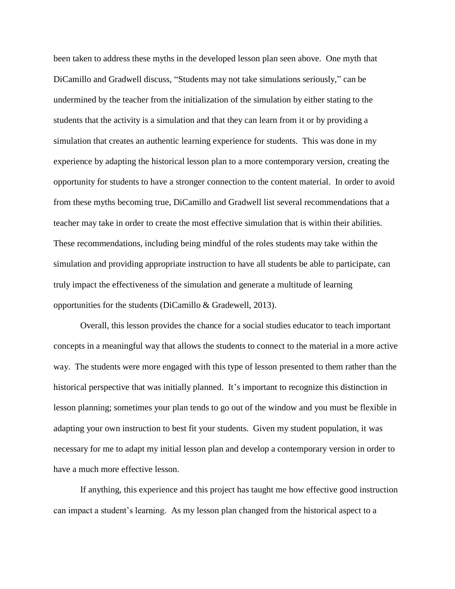been taken to address these myths in the developed lesson plan seen above. One myth that DiCamillo and Gradwell discuss, "Students may not take simulations seriously," can be undermined by the teacher from the initialization of the simulation by either stating to the students that the activity is a simulation and that they can learn from it or by providing a simulation that creates an authentic learning experience for students. This was done in my experience by adapting the historical lesson plan to a more contemporary version, creating the opportunity for students to have a stronger connection to the content material. In order to avoid from these myths becoming true, DiCamillo and Gradwell list several recommendations that a teacher may take in order to create the most effective simulation that is within their abilities. These recommendations, including being mindful of the roles students may take within the simulation and providing appropriate instruction to have all students be able to participate, can truly impact the effectiveness of the simulation and generate a multitude of learning opportunities for the students (DiCamillo & Gradewell, 2013).

Overall, this lesson provides the chance for a social studies educator to teach important concepts in a meaningful way that allows the students to connect to the material in a more active way. The students were more engaged with this type of lesson presented to them rather than the historical perspective that was initially planned. It's important to recognize this distinction in lesson planning; sometimes your plan tends to go out of the window and you must be flexible in adapting your own instruction to best fit your students. Given my student population, it was necessary for me to adapt my initial lesson plan and develop a contemporary version in order to have a much more effective lesson.

If anything, this experience and this project has taught me how effective good instruction can impact a student's learning. As my lesson plan changed from the historical aspect to a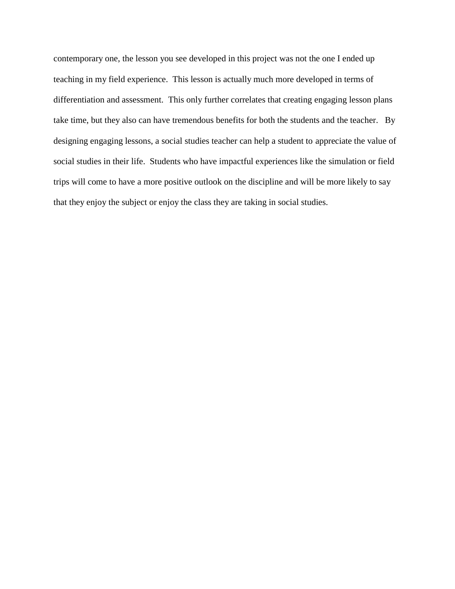contemporary one, the lesson you see developed in this project was not the one I ended up teaching in my field experience. This lesson is actually much more developed in terms of differentiation and assessment. This only further correlates that creating engaging lesson plans take time, but they also can have tremendous benefits for both the students and the teacher. By designing engaging lessons, a social studies teacher can help a student to appreciate the value of social studies in their life. Students who have impactful experiences like the simulation or field trips will come to have a more positive outlook on the discipline and will be more likely to say that they enjoy the subject or enjoy the class they are taking in social studies.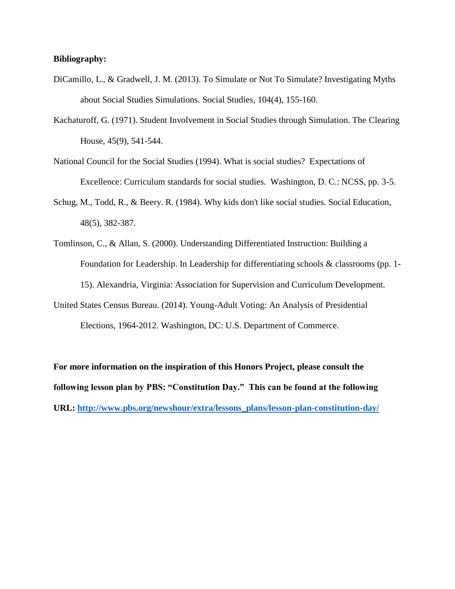### **Bibliography:**

- DiCamillo, L., & Gradwell, J. M. (2013). To Simulate or Not To Simulate? Investigating Myths about Social Studies Simulations. Social Studies, 104(4), 155-160.
- Kachaturoff, G. (1971). Student Involvement in Social Studies through Simulation. The Clearing House, 45(9), 541-544.
- National Council for the Social Studies (1994). What is social studies? Expectations of Excellence: Curriculum standards for social studies. Washington, D. C.: NCSS, pp. 3-5.
- Schug, M., Todd, R., & Beery. R. (1984). Why kids don't like social studies. Social Education, 48(5), 382-387.
- Tomlinson, C., & Allan, S. (2000). Understanding Differentiated Instruction: Building a Foundation for Leadership. In Leadership for differentiating schools & classrooms (pp. 1- 15). Alexandria, Virginia: Association for Supervision and Curriculum Development.
- United States Census Bureau. (2014). Young-Adult Voting: An Analysis of Presidential Elections, 1964-2012. Washington, DC: U.S. Department of Commerce.

**For more information on the inspiration of this Honors Project, please consult the following lesson plan by PBS: "Constitution Day." This can be found at the following URL: [http://www.pbs.org/newshour/extra/lessons\\_plans/lesson-plan-constitution-day/](http://www.pbs.org/newshour/extra/lessons_plans/lesson-plan-constitution-day/)**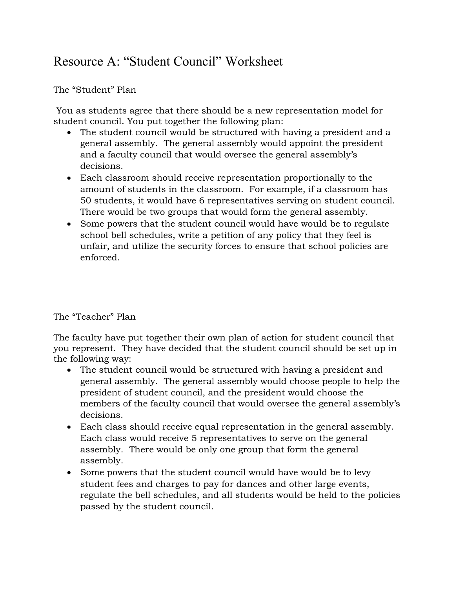# Resource A: "Student Council" Worksheet

## The "Student" Plan

You as students agree that there should be a new representation model for student council. You put together the following plan:

- The student council would be structured with having a president and a general assembly. The general assembly would appoint the president and a faculty council that would oversee the general assembly's decisions.
- Each classroom should receive representation proportionally to the amount of students in the classroom. For example, if a classroom has 50 students, it would have 6 representatives serving on student council. There would be two groups that would form the general assembly.
- Some powers that the student council would have would be to regulate school bell schedules, write a petition of any policy that they feel is unfair, and utilize the security forces to ensure that school policies are enforced.

## The "Teacher" Plan

The faculty have put together their own plan of action for student council that you represent. They have decided that the student council should be set up in the following way:

- The student council would be structured with having a president and general assembly. The general assembly would choose people to help the president of student council, and the president would choose the members of the faculty council that would oversee the general assembly's decisions.
- Each class should receive equal representation in the general assembly. Each class would receive 5 representatives to serve on the general assembly. There would be only one group that form the general assembly.
- Some powers that the student council would have would be to levy student fees and charges to pay for dances and other large events, regulate the bell schedules, and all students would be held to the policies passed by the student council.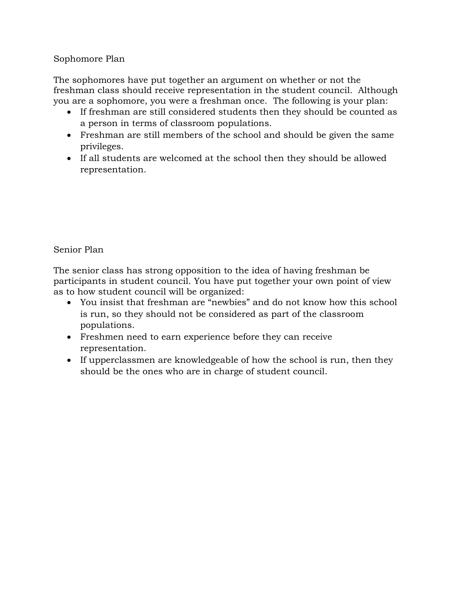### Sophomore Plan

The sophomores have put together an argument on whether or not the freshman class should receive representation in the student council. Although you are a sophomore, you were a freshman once. The following is your plan:

- If freshman are still considered students then they should be counted as a person in terms of classroom populations.
- Freshman are still members of the school and should be given the same privileges.
- If all students are welcomed at the school then they should be allowed representation.

## Senior Plan

The senior class has strong opposition to the idea of having freshman be participants in student council. You have put together your own point of view as to how student council will be organized:

- You insist that freshman are "newbies" and do not know how this school is run, so they should not be considered as part of the classroom populations.
- Freshmen need to earn experience before they can receive representation.
- If upperclassmen are knowledgeable of how the school is run, then they should be the ones who are in charge of student council.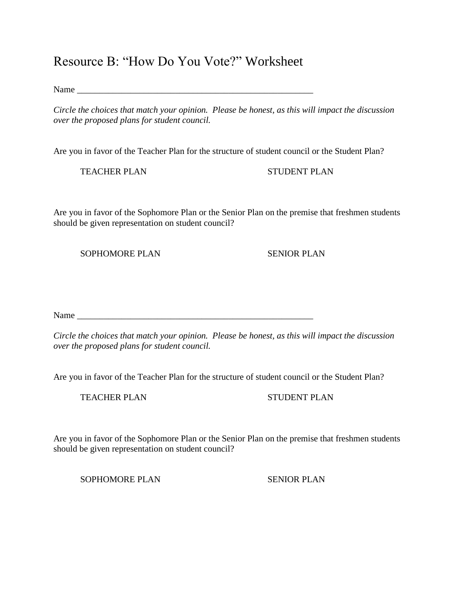# Resource B: "How Do You Vote?" Worksheet

Name \_\_\_\_\_\_\_\_\_\_\_\_\_\_\_\_\_\_\_\_\_\_\_\_\_\_\_\_\_\_\_\_\_\_\_\_\_\_\_\_\_\_\_\_\_\_\_\_\_\_\_\_\_

*Circle the choices that match your opinion. Please be honest, as this will impact the discussion over the proposed plans for student council.*

Are you in favor of the Teacher Plan for the structure of student council or the Student Plan?

TEACHER PLAN STUDENT PLAN

Are you in favor of the Sophomore Plan or the Senior Plan on the premise that freshmen students should be given representation on student council?

SOPHOMORE PLAN SENIOR PLAN

Name

*Circle the choices that match your opinion. Please be honest, as this will impact the discussion over the proposed plans for student council.*

Are you in favor of the Teacher Plan for the structure of student council or the Student Plan?

TEACHER PLAN STUDENT PLAN

Are you in favor of the Sophomore Plan or the Senior Plan on the premise that freshmen students should be given representation on student council?

SOPHOMORE PLAN SENIOR PLAN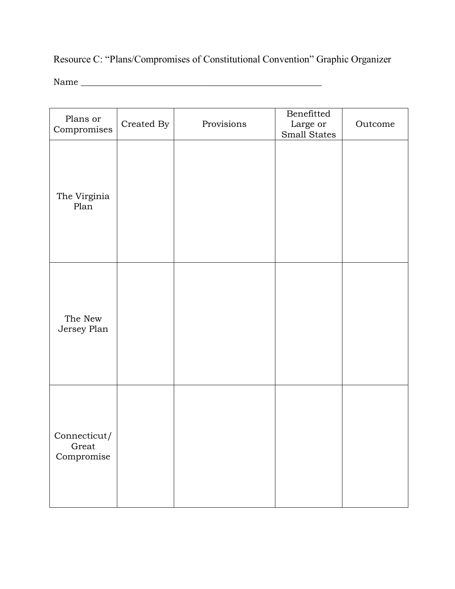Resource C: "Plans/Compromises of Constitutional Convention" Graphic Organizer Name \_\_\_\_\_\_\_\_\_\_\_\_\_\_\_\_\_\_\_\_\_\_\_\_\_\_\_\_\_\_\_\_\_\_\_\_\_\_\_\_\_\_\_\_\_\_\_\_\_\_\_\_\_\_

| Plans or<br>Compromises             | Created By | Provisions | Benefitted<br>Large or<br>Small States | Outcome |
|-------------------------------------|------------|------------|----------------------------------------|---------|
| The Virginia<br>Plan                |            |            |                                        |         |
| The New<br>Jersey Plan              |            |            |                                        |         |
| Connecticut/<br>Great<br>Compromise |            |            |                                        |         |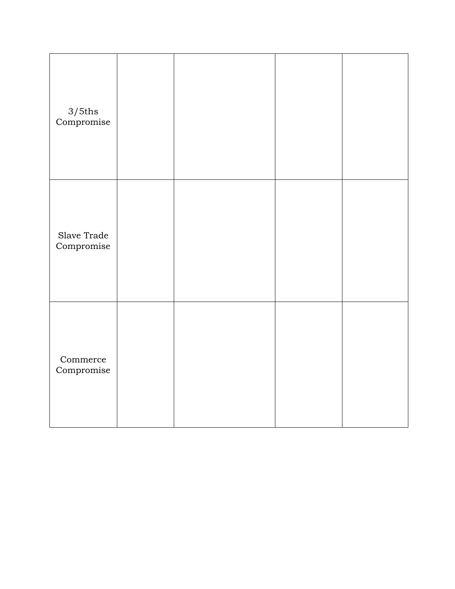| $3/5{\rm ths}$<br>${\bf Compare}$                  |  |  |
|----------------------------------------------------|--|--|
| Slave Trade<br>Compromise                          |  |  |
| Commerce<br>${\bf \large\bf \large\it Compromise}$ |  |  |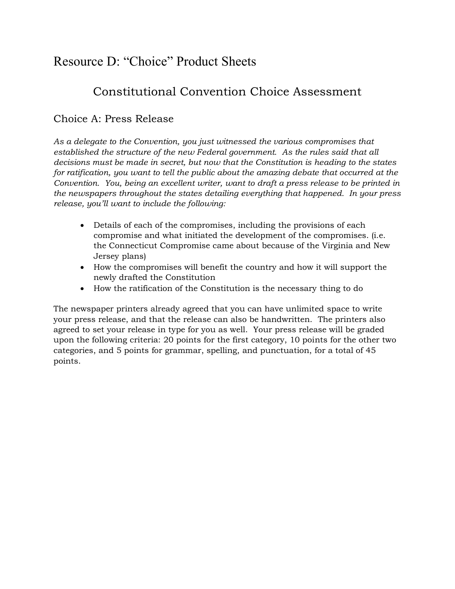# Resource D: "Choice" Product Sheets

# Constitutional Convention Choice Assessment

## Choice A: Press Release

*As a delegate to the Convention, you just witnessed the various compromises that established the structure of the new Federal government. As the rules said that all decisions must be made in secret, but now that the Constitution is heading to the states for ratification, you want to tell the public about the amazing debate that occurred at the Convention. You, being an excellent writer, want to draft a press release to be printed in the newspapers throughout the states detailing everything that happened. In your press release, you'll want to include the following:*

- Details of each of the compromises, including the provisions of each compromise and what initiated the development of the compromises. (i.e. the Connecticut Compromise came about because of the Virginia and New Jersey plans)
- How the compromises will benefit the country and how it will support the newly drafted the Constitution
- How the ratification of the Constitution is the necessary thing to do

The newspaper printers already agreed that you can have unlimited space to write your press release, and that the release can also be handwritten. The printers also agreed to set your release in type for you as well. Your press release will be graded upon the following criteria: 20 points for the first category, 10 points for the other two categories, and 5 points for grammar, spelling, and punctuation, for a total of 45 points.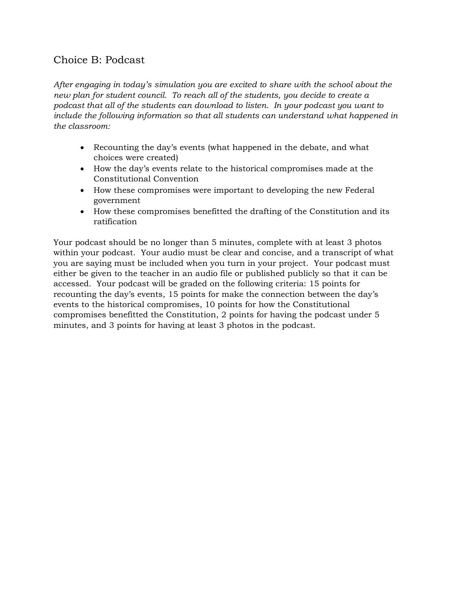# Choice B: Podcast

*After engaging in today's simulation you are excited to share with the school about the new plan for student council. To reach all of the students, you decide to create a podcast that all of the students can download to listen. In your podcast you want to include the following information so that all students can understand what happened in the classroom:*

- Recounting the day's events (what happened in the debate, and what choices were created)
- How the day's events relate to the historical compromises made at the Constitutional Convention
- How these compromises were important to developing the new Federal government
- How these compromises benefitted the drafting of the Constitution and its ratification

Your podcast should be no longer than 5 minutes, complete with at least 3 photos within your podcast. Your audio must be clear and concise, and a transcript of what you are saying must be included when you turn in your project. Your podcast must either be given to the teacher in an audio file or published publicly so that it can be accessed. Your podcast will be graded on the following criteria: 15 points for recounting the day's events, 15 points for make the connection between the day's events to the historical compromises, 10 points for how the Constitutional compromises benefitted the Constitution, 2 points for having the podcast under 5 minutes, and 3 points for having at least 3 photos in the podcast.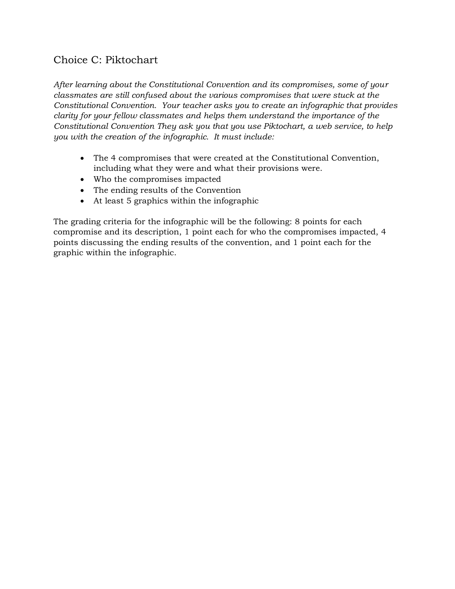# Choice C: Piktochart

*After learning about the Constitutional Convention and its compromises, some of your classmates are still confused about the various compromises that were stuck at the Constitutional Convention. Your teacher asks you to create an infographic that provides clarity for your fellow classmates and helps them understand the importance of the Constitutional Convention They ask you that you use Piktochart, a web service, to help you with the creation of the infographic. It must include:*

- The 4 compromises that were created at the Constitutional Convention, including what they were and what their provisions were.
- Who the compromises impacted
- The ending results of the Convention
- At least 5 graphics within the infographic

The grading criteria for the infographic will be the following: 8 points for each compromise and its description, 1 point each for who the compromises impacted, 4 points discussing the ending results of the convention, and 1 point each for the graphic within the infographic.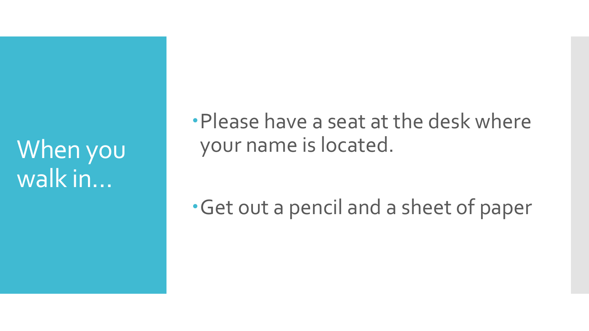When you walk in…

Please have a seat at the desk where your name is located.

Get out a pencil and a sheet of paper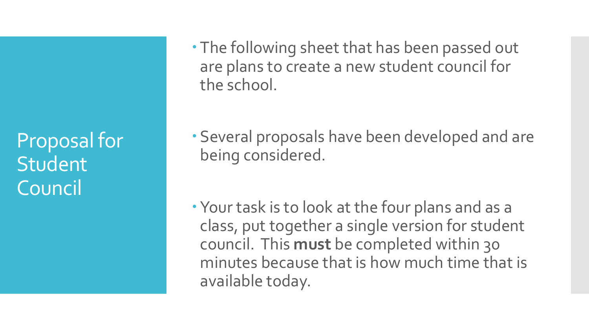Proposal for Student Council

 The following sheet that has been passed out are plans to create a new student council for the school.

 Several proposals have been developed and are being considered.

 Your task is to look at the four plans and as a class, put together a single version for student council. This **must** be completed within 30 minutes because that is how much time that is available today.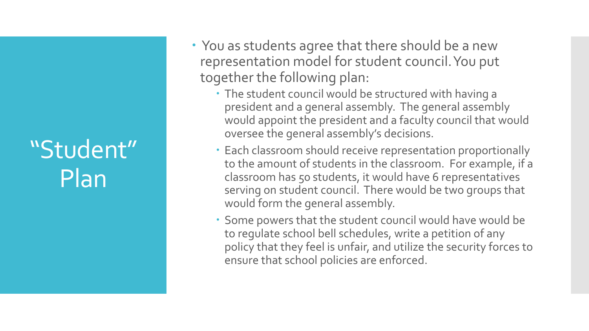# "Student" Plan

- You as students agree that there should be a new representation model for student council. You put together the following plan:
	- The student council would be structured with having a president and a general assembly. The general assembly would appoint the president and a faculty council that would oversee the general assembly's decisions.
	- Each classroom should receive representation proportionally to the amount of students in the classroom. For example, if a classroom has 50 students, it would have 6 representatives serving on student council. There would be two groups that would form the general assembly.
	- Some powers that the student council would have would be to regulate school bell schedules, write a petition of any policy that they feel is unfair, and utilize the security forces to ensure that school policies are enforced.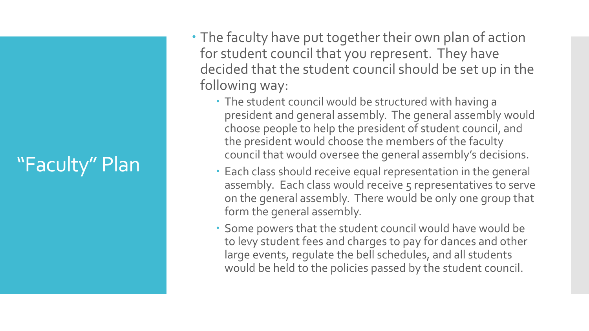# "Faculty" Plan

- The faculty have put together their own plan of action for student council that you represent. They have decided that the student council should be set up in the following way:
	- The student council would be structured with having a president and general assembly. The general assembly would choose people to help the president of student council, and the president would choose the members of the faculty council that would oversee the general assembly's decisions.
	- Each class should receive equal representation in the general assembly. Each class would receive 5 representatives to serve on the general assembly. There would be only one group that form the general assembly.
	- Some powers that the student council would have would be to levy student fees and charges to pay for dances and other large events, regulate the bell schedules, and all students would be held to the policies passed by the student council.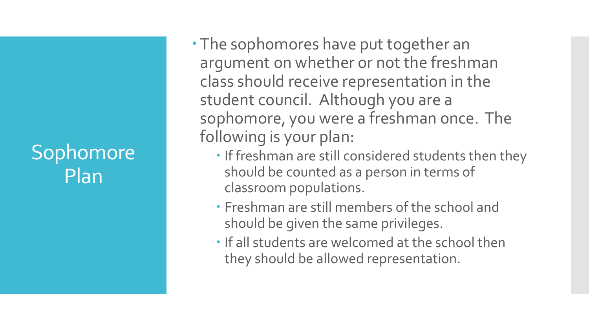# Sophomore Plan

- The sophomores have put together an argument on whether or not the freshman class should receive representation in the student council. Although you are a sophomore, you were a freshman once. The following is your plan:
	- If freshman are still considered students then they should be counted as a person in terms of classroom populations.
	- Freshman are still members of the school and should be given the same privileges.
	- $\cdot$  If all students are welcomed at the school then they should be allowed representation.